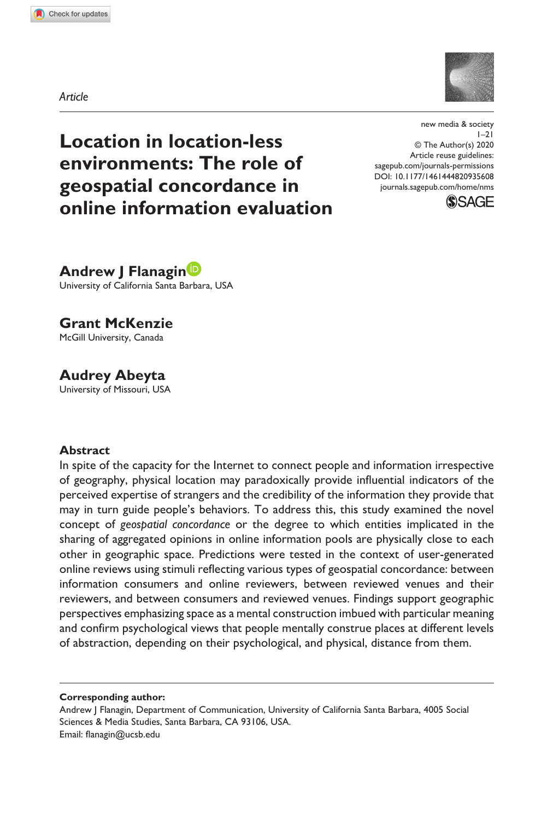**9356[08](http://crossmark.crossref.org/dialog/?doi=10.1177%2F1461444820935608&domain=pdf&date_stamp=2020-07-06)** NMS0010.1177/1461444820935608new media & society**Flanagin et al.**



*Article*

**Location in location-less environments: The role of geospatial concordance in online information evaluation** DOI: 10.1177/1461444820935608 new media & society  $1 - 21$ © The Author(s) 2020 Article reuse guidelines: [sagepub.com/journals-permissions](https://uk.sagepub.com/en-gb/journals-permissions) [journals.sagepub.com/home/nms](https://journals.sagepub.com/home/nms)



**Andrew J Flanagin** University of California Santa Barbara, USA

**Grant McKenzie**

McGill University, Canada

# **Audrey Abeyta**

University of Missouri, USA

#### **Abstract**

In spite of the capacity for the Internet to connect people and information irrespective of geography, physical location may paradoxically provide influential indicators of the perceived expertise of strangers and the credibility of the information they provide that may in turn guide people's behaviors. To address this, this study examined the novel concept of *geospatial concordance* or the degree to which entities implicated in the sharing of aggregated opinions in online information pools are physically close to each other in geographic space. Predictions were tested in the context of user-generated online reviews using stimuli reflecting various types of geospatial concordance: between information consumers and online reviewers, between reviewed venues and their reviewers, and between consumers and reviewed venues. Findings support geographic perspectives emphasizing space as a mental construction imbued with particular meaning and confirm psychological views that people mentally construe places at different levels of abstraction, depending on their psychological, and physical, distance from them.

**Corresponding author:**

Andrew | Flanagin, Department of Communication, University of California Santa Barbara, 4005 Social Sciences & Media Studies, Santa Barbara, CA 93106, USA. Email: [flanagin@ucsb.edu](mailto:flanagin@ucsb.edu)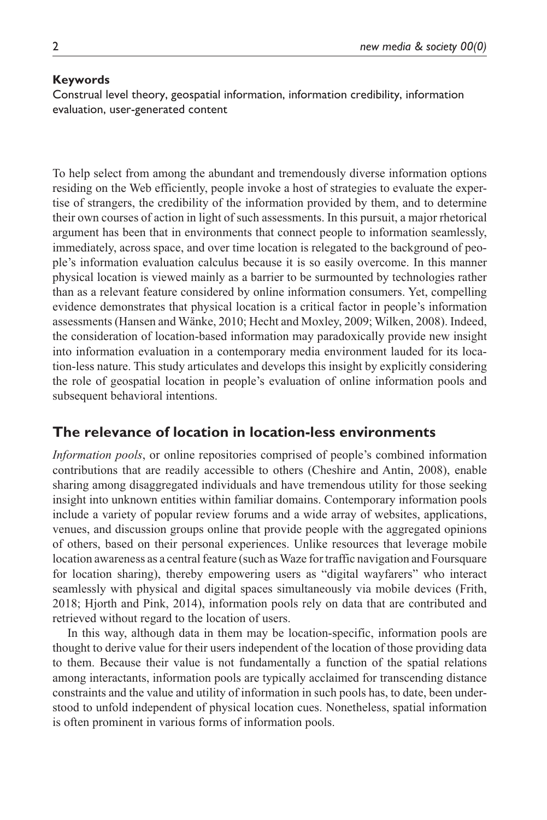#### **Keywords**

Construal level theory, geospatial information, information credibility, information evaluation, user-generated content

To help select from among the abundant and tremendously diverse information options residing on the Web efficiently, people invoke a host of strategies to evaluate the expertise of strangers, the credibility of the information provided by them, and to determine their own courses of action in light of such assessments. In this pursuit, a major rhetorical argument has been that in environments that connect people to information seamlessly, immediately, across space, and over time location is relegated to the background of people's information evaluation calculus because it is so easily overcome. In this manner physical location is viewed mainly as a barrier to be surmounted by technologies rather than as a relevant feature considered by online information consumers. Yet, compelling evidence demonstrates that physical location is a critical factor in people's information assessments (Hansen and Wänke, 2010; Hecht and Moxley, 2009; Wilken, 2008). Indeed, the consideration of location-based information may paradoxically provide new insight into information evaluation in a contemporary media environment lauded for its location-less nature. This study articulates and develops this insight by explicitly considering the role of geospatial location in people's evaluation of online information pools and subsequent behavioral intentions.

### **The relevance of location in location-less environments**

*Information pools*, or online repositories comprised of people's combined information contributions that are readily accessible to others (Cheshire and Antin, 2008), enable sharing among disaggregated individuals and have tremendous utility for those seeking insight into unknown entities within familiar domains. Contemporary information pools include a variety of popular review forums and a wide array of websites, applications, venues, and discussion groups online that provide people with the aggregated opinions of others, based on their personal experiences. Unlike resources that leverage mobile location awareness as a central feature (such as Waze for traffic navigation and Foursquare for location sharing), thereby empowering users as "digital wayfarers" who interact seamlessly with physical and digital spaces simultaneously via mobile devices (Frith, 2018; Hjorth and Pink, 2014), information pools rely on data that are contributed and retrieved without regard to the location of users.

In this way, although data in them may be location-specific, information pools are thought to derive value for their users independent of the location of those providing data to them. Because their value is not fundamentally a function of the spatial relations among interactants, information pools are typically acclaimed for transcending distance constraints and the value and utility of information in such pools has, to date, been understood to unfold independent of physical location cues. Nonetheless, spatial information is often prominent in various forms of information pools.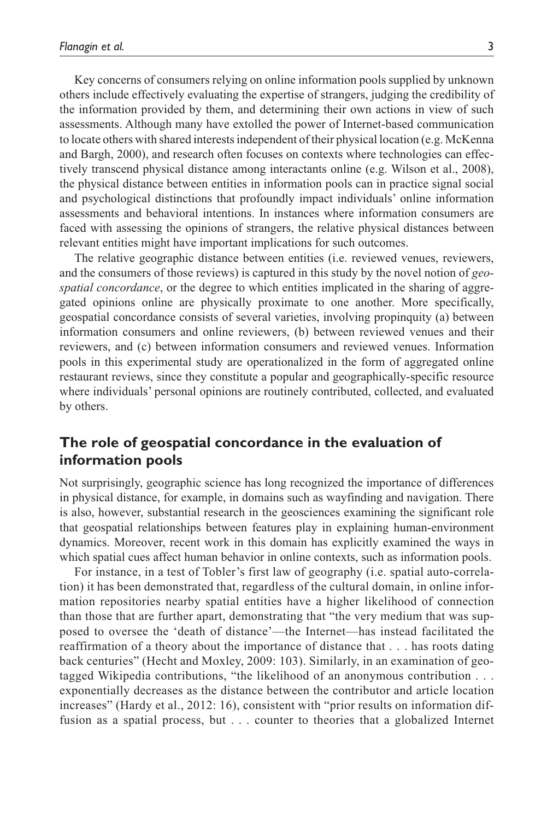Key concerns of consumers relying on online information pools supplied by unknown others include effectively evaluating the expertise of strangers, judging the credibility of the information provided by them, and determining their own actions in view of such assessments. Although many have extolled the power of Internet-based communication to locate others with shared interests independent of their physical location (e.g. McKenna and Bargh, 2000), and research often focuses on contexts where technologies can effectively transcend physical distance among interactants online (e.g. Wilson et al., 2008), the physical distance between entities in information pools can in practice signal social and psychological distinctions that profoundly impact individuals' online information assessments and behavioral intentions. In instances where information consumers are faced with assessing the opinions of strangers, the relative physical distances between relevant entities might have important implications for such outcomes.

The relative geographic distance between entities (i.e. reviewed venues, reviewers, and the consumers of those reviews) is captured in this study by the novel notion of *geospatial concordance*, or the degree to which entities implicated in the sharing of aggregated opinions online are physically proximate to one another. More specifically, geospatial concordance consists of several varieties, involving propinquity (a) between information consumers and online reviewers, (b) between reviewed venues and their reviewers, and (c) between information consumers and reviewed venues. Information pools in this experimental study are operationalized in the form of aggregated online restaurant reviews, since they constitute a popular and geographically-specific resource where individuals' personal opinions are routinely contributed, collected, and evaluated by others.

## **The role of geospatial concordance in the evaluation of information pools**

Not surprisingly, geographic science has long recognized the importance of differences in physical distance, for example, in domains such as wayfinding and navigation. There is also, however, substantial research in the geosciences examining the significant role that geospatial relationships between features play in explaining human-environment dynamics. Moreover, recent work in this domain has explicitly examined the ways in which spatial cues affect human behavior in online contexts, such as information pools.

For instance, in a test of Tobler's first law of geography (i.e. spatial auto-correlation) it has been demonstrated that, regardless of the cultural domain, in online information repositories nearby spatial entities have a higher likelihood of connection than those that are further apart, demonstrating that "the very medium that was supposed to oversee the 'death of distance'—the Internet—has instead facilitated the reaffirmation of a theory about the importance of distance that . . . has roots dating back centuries" (Hecht and Moxley, 2009: 103). Similarly, in an examination of geotagged Wikipedia contributions, "the likelihood of an anonymous contribution . . . exponentially decreases as the distance between the contributor and article location increases" (Hardy et al., 2012: 16), consistent with "prior results on information diffusion as a spatial process, but . . . counter to theories that a globalized Internet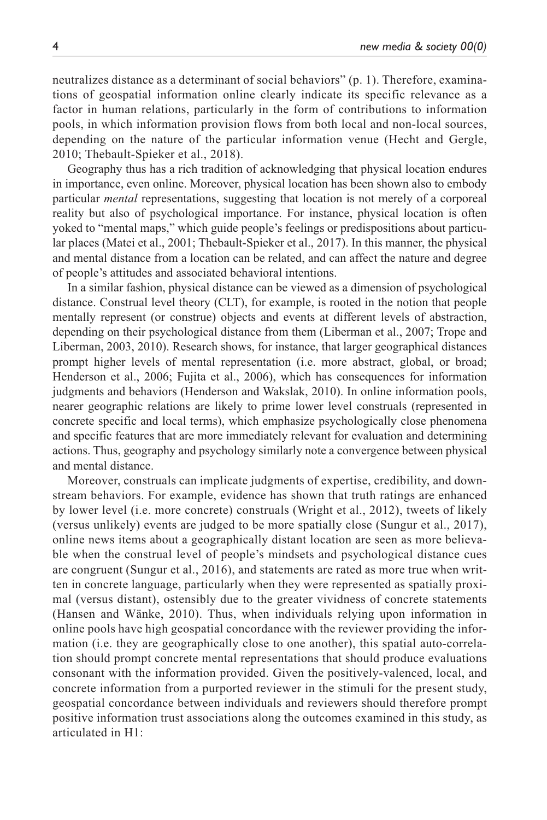neutralizes distance as a determinant of social behaviors" (p. 1). Therefore, examinations of geospatial information online clearly indicate its specific relevance as a factor in human relations, particularly in the form of contributions to information pools, in which information provision flows from both local and non-local sources, depending on the nature of the particular information venue (Hecht and Gergle, 2010; Thebault-Spieker et al., 2018).

Geography thus has a rich tradition of acknowledging that physical location endures in importance, even online. Moreover, physical location has been shown also to embody particular *mental* representations, suggesting that location is not merely of a corporeal reality but also of psychological importance. For instance, physical location is often yoked to "mental maps," which guide people's feelings or predispositions about particular places (Matei et al., 2001; Thebault-Spieker et al., 2017). In this manner, the physical and mental distance from a location can be related, and can affect the nature and degree of people's attitudes and associated behavioral intentions.

In a similar fashion, physical distance can be viewed as a dimension of psychological distance. Construal level theory (CLT), for example, is rooted in the notion that people mentally represent (or construe) objects and events at different levels of abstraction, depending on their psychological distance from them (Liberman et al., 2007; Trope and Liberman, 2003, 2010). Research shows, for instance, that larger geographical distances prompt higher levels of mental representation (i.e. more abstract, global, or broad; Henderson et al., 2006; Fujita et al., 2006), which has consequences for information judgments and behaviors (Henderson and Wakslak, 2010). In online information pools, nearer geographic relations are likely to prime lower level construals (represented in concrete specific and local terms), which emphasize psychologically close phenomena and specific features that are more immediately relevant for evaluation and determining actions. Thus, geography and psychology similarly note a convergence between physical and mental distance.

Moreover, construals can implicate judgments of expertise, credibility, and downstream behaviors. For example, evidence has shown that truth ratings are enhanced by lower level (i.e. more concrete) construals (Wright et al., 2012), tweets of likely (versus unlikely) events are judged to be more spatially close (Sungur et al., 2017), online news items about a geographically distant location are seen as more believable when the construal level of people's mindsets and psychological distance cues are congruent (Sungur et al., 2016), and statements are rated as more true when written in concrete language, particularly when they were represented as spatially proximal (versus distant), ostensibly due to the greater vividness of concrete statements (Hansen and Wänke, 2010). Thus, when individuals relying upon information in online pools have high geospatial concordance with the reviewer providing the information (i.e. they are geographically close to one another), this spatial auto-correlation should prompt concrete mental representations that should produce evaluations consonant with the information provided. Given the positively-valenced, local, and concrete information from a purported reviewer in the stimuli for the present study, geospatial concordance between individuals and reviewers should therefore prompt positive information trust associations along the outcomes examined in this study, as articulated in H1: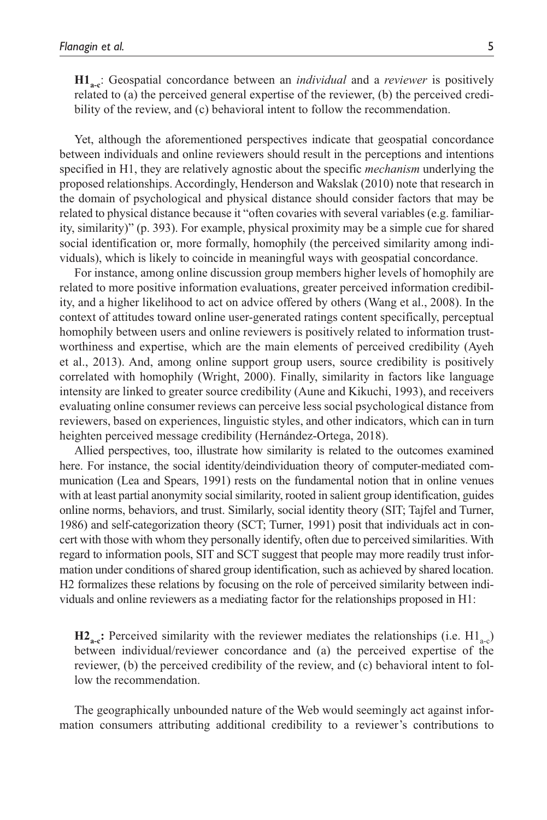**H1**<sub>a-c</sub>: Geospatial concordance between an *individual* and a *reviewer* is positively related to (a) the perceived general expertise of the reviewer, (b) the perceived credibility of the review, and (c) behavioral intent to follow the recommendation.

Yet, although the aforementioned perspectives indicate that geospatial concordance between individuals and online reviewers should result in the perceptions and intentions specified in H1, they are relatively agnostic about the specific *mechanism* underlying the proposed relationships. Accordingly, Henderson and Wakslak (2010) note that research in the domain of psychological and physical distance should consider factors that may be related to physical distance because it "often covaries with several variables (e.g. familiarity, similarity)" (p. 393). For example, physical proximity may be a simple cue for shared social identification or, more formally, homophily (the perceived similarity among individuals), which is likely to coincide in meaningful ways with geospatial concordance.

For instance, among online discussion group members higher levels of homophily are related to more positive information evaluations, greater perceived information credibility, and a higher likelihood to act on advice offered by others (Wang et al., 2008). In the context of attitudes toward online user-generated ratings content specifically, perceptual homophily between users and online reviewers is positively related to information trustworthiness and expertise, which are the main elements of perceived credibility (Ayeh et al., 2013). And, among online support group users, source credibility is positively correlated with homophily (Wright, 2000). Finally, similarity in factors like language intensity are linked to greater source credibility (Aune and Kikuchi, 1993), and receivers evaluating online consumer reviews can perceive less social psychological distance from reviewers, based on experiences, linguistic styles, and other indicators, which can in turn heighten perceived message credibility (Hernández-Ortega, 2018).

Allied perspectives, too, illustrate how similarity is related to the outcomes examined here. For instance, the social identity/deindividuation theory of computer-mediated communication (Lea and Spears, 1991) rests on the fundamental notion that in online venues with at least partial anonymity social similarity, rooted in salient group identification, guides online norms, behaviors, and trust. Similarly, social identity theory (SIT; Tajfel and Turner, 1986) and self-categorization theory (SCT; Turner, 1991) posit that individuals act in concert with those with whom they personally identify, often due to perceived similarities. With regard to information pools, SIT and SCT suggest that people may more readily trust information under conditions of shared group identification, such as achieved by shared location. H2 formalizes these relations by focusing on the role of perceived similarity between individuals and online reviewers as a mediating factor for the relationships proposed in H1:

 $\mathbf{H2}_{\text{a-c}}$ : Perceived similarity with the reviewer mediates the relationships (i.e.  $\mathrm{H1}_{\text{a-c}}$ ) between individual/reviewer concordance and (a) the perceived expertise of the reviewer, (b) the perceived credibility of the review, and (c) behavioral intent to follow the recommendation.

The geographically unbounded nature of the Web would seemingly act against information consumers attributing additional credibility to a reviewer's contributions to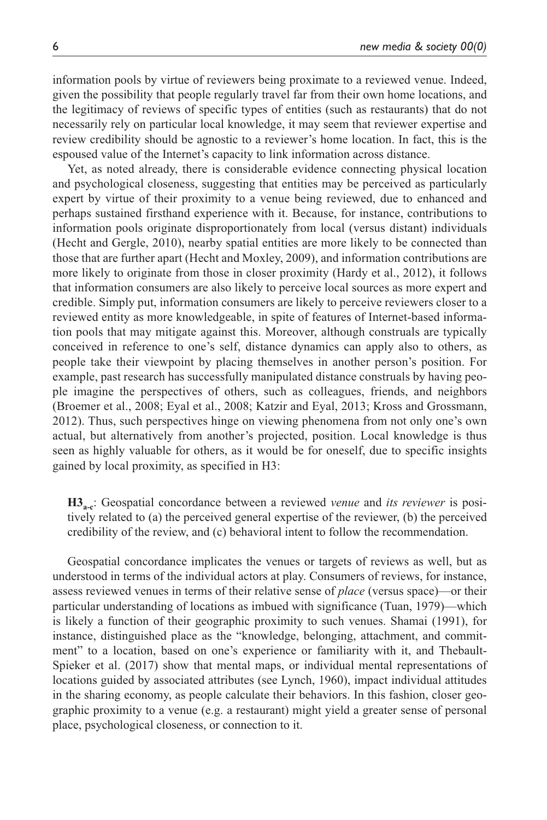information pools by virtue of reviewers being proximate to a reviewed venue. Indeed, given the possibility that people regularly travel far from their own home locations, and the legitimacy of reviews of specific types of entities (such as restaurants) that do not necessarily rely on particular local knowledge, it may seem that reviewer expertise and review credibility should be agnostic to a reviewer's home location. In fact, this is the espoused value of the Internet's capacity to link information across distance.

Yet, as noted already, there is considerable evidence connecting physical location and psychological closeness, suggesting that entities may be perceived as particularly expert by virtue of their proximity to a venue being reviewed, due to enhanced and perhaps sustained firsthand experience with it. Because, for instance, contributions to information pools originate disproportionately from local (versus distant) individuals (Hecht and Gergle, 2010), nearby spatial entities are more likely to be connected than those that are further apart (Hecht and Moxley, 2009), and information contributions are more likely to originate from those in closer proximity (Hardy et al., 2012), it follows that information consumers are also likely to perceive local sources as more expert and credible. Simply put, information consumers are likely to perceive reviewers closer to a reviewed entity as more knowledgeable, in spite of features of Internet-based information pools that may mitigate against this. Moreover, although construals are typically conceived in reference to one's self, distance dynamics can apply also to others, as people take their viewpoint by placing themselves in another person's position. For example, past research has successfully manipulated distance construals by having people imagine the perspectives of others, such as colleagues, friends, and neighbors (Broemer et al., 2008; Eyal et al., 2008; Katzir and Eyal, 2013; Kross and Grossmann, 2012). Thus, such perspectives hinge on viewing phenomena from not only one's own actual, but alternatively from another's projected, position. Local knowledge is thus seen as highly valuable for others, as it would be for oneself, due to specific insights gained by local proximity, as specified in H3:

**H3a-c**: Geospatial concordance between a reviewed *venue* and *its reviewer* is positively related to (a) the perceived general expertise of the reviewer, (b) the perceived credibility of the review, and (c) behavioral intent to follow the recommendation.

Geospatial concordance implicates the venues or targets of reviews as well, but as understood in terms of the individual actors at play. Consumers of reviews, for instance, assess reviewed venues in terms of their relative sense of *place* (versus space)—or their particular understanding of locations as imbued with significance (Tuan, 1979)—which is likely a function of their geographic proximity to such venues. Shamai (1991), for instance, distinguished place as the "knowledge, belonging, attachment, and commitment" to a location, based on one's experience or familiarity with it, and Thebault-Spieker et al. (2017) show that mental maps, or individual mental representations of locations guided by associated attributes (see Lynch, 1960), impact individual attitudes in the sharing economy, as people calculate their behaviors. In this fashion, closer geographic proximity to a venue (e.g. a restaurant) might yield a greater sense of personal place, psychological closeness, or connection to it.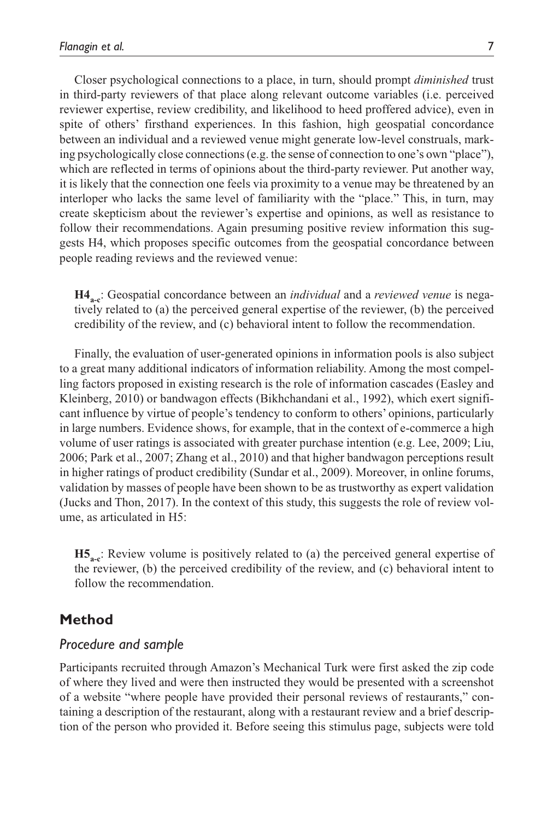Closer psychological connections to a place, in turn, should prompt *diminished* trust in third-party reviewers of that place along relevant outcome variables (i.e. perceived reviewer expertise, review credibility, and likelihood to heed proffered advice), even in spite of others' firsthand experiences. In this fashion, high geospatial concordance between an individual and a reviewed venue might generate low-level construals, marking psychologically close connections (e.g. the sense of connection to one's own "place"), which are reflected in terms of opinions about the third-party reviewer. Put another way, it is likely that the connection one feels via proximity to a venue may be threatened by an interloper who lacks the same level of familiarity with the "place." This, in turn, may create skepticism about the reviewer's expertise and opinions, as well as resistance to follow their recommendations. Again presuming positive review information this suggests H4, which proposes specific outcomes from the geospatial concordance between people reading reviews and the reviewed venue:

**H4**<sub>a-c</sub>: Geospatial concordance between an *individual* and a *reviewed venue* is negatively related to (a) the perceived general expertise of the reviewer, (b) the perceived credibility of the review, and (c) behavioral intent to follow the recommendation.

Finally, the evaluation of user-generated opinions in information pools is also subject to a great many additional indicators of information reliability. Among the most compelling factors proposed in existing research is the role of information cascades (Easley and Kleinberg, 2010) or bandwagon effects (Bikhchandani et al., 1992), which exert significant influence by virtue of people's tendency to conform to others' opinions, particularly in large numbers. Evidence shows, for example, that in the context of e-commerce a high volume of user ratings is associated with greater purchase intention (e.g. Lee, 2009; Liu, 2006; Park et al., 2007; Zhang et al., 2010) and that higher bandwagon perceptions result in higher ratings of product credibility (Sundar et al., 2009). Moreover, in online forums, validation by masses of people have been shown to be as trustworthy as expert validation (Jucks and Thon, 2017). In the context of this study, this suggests the role of review volume, as articulated in H5:

**H5**<sub>a-c</sub>: Review volume is positively related to (a) the perceived general expertise of the reviewer, (b) the perceived credibility of the review, and (c) behavioral intent to follow the recommendation.

## **Method**

#### *Procedure and sample*

Participants recruited through Amazon's Mechanical Turk were first asked the zip code of where they lived and were then instructed they would be presented with a screenshot of a website "where people have provided their personal reviews of restaurants," containing a description of the restaurant, along with a restaurant review and a brief description of the person who provided it. Before seeing this stimulus page, subjects were told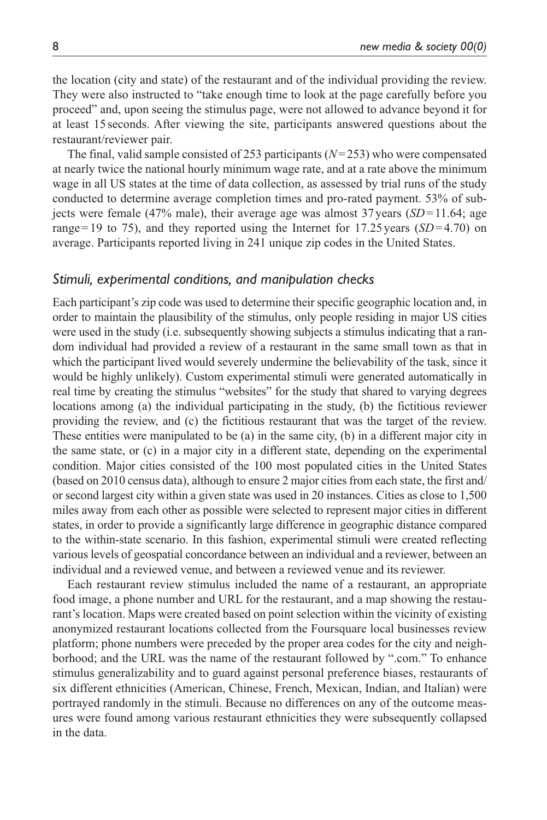the location (city and state) of the restaurant and of the individual providing the review. They were also instructed to "take enough time to look at the page carefully before you proceed" and, upon seeing the stimulus page, were not allowed to advance beyond it for at least 15 seconds. After viewing the site, participants answered questions about the restaurant/reviewer pair.

The final, valid sample consisted of 253 participants (*N*=253) who were compensated at nearly twice the national hourly minimum wage rate, and at a rate above the minimum wage in all US states at the time of data collection, as assessed by trial runs of the study conducted to determine average completion times and pro-rated payment. 53% of subjects were female (47% male), their average age was almost  $37$  years (*SD*=11.64; age range=19 to 75), and they reported using the Internet for  $17.25$  years (*SD*=4.70) on average. Participants reported living in 241 unique zip codes in the United States.

#### *Stimuli, experimental conditions, and manipulation checks*

Each participant's zip code was used to determine their specific geographic location and, in order to maintain the plausibility of the stimulus, only people residing in major US cities were used in the study (i.e. subsequently showing subjects a stimulus indicating that a random individual had provided a review of a restaurant in the same small town as that in which the participant lived would severely undermine the believability of the task, since it would be highly unlikely). Custom experimental stimuli were generated automatically in real time by creating the stimulus "websites" for the study that shared to varying degrees locations among (a) the individual participating in the study, (b) the fictitious reviewer providing the review, and (c) the fictitious restaurant that was the target of the review. These entities were manipulated to be (a) in the same city, (b) in a different major city in the same state, or (c) in a major city in a different state, depending on the experimental condition. Major cities consisted of the 100 most populated cities in the United States (based on 2010 census data), although to ensure 2 major cities from each state, the first and/ or second largest city within a given state was used in 20 instances. Cities as close to 1,500 miles away from each other as possible were selected to represent major cities in different states, in order to provide a significantly large difference in geographic distance compared to the within-state scenario. In this fashion, experimental stimuli were created reflecting various levels of geospatial concordance between an individual and a reviewer, between an individual and a reviewed venue, and between a reviewed venue and its reviewer.

Each restaurant review stimulus included the name of a restaurant, an appropriate food image, a phone number and URL for the restaurant, and a map showing the restaurant's location. Maps were created based on point selection within the vicinity of existing anonymized restaurant locations collected from the Foursquare local businesses review platform; phone numbers were preceded by the proper area codes for the city and neighborhood; and the URL was the name of the restaurant followed by ".com." To enhance stimulus generalizability and to guard against personal preference biases, restaurants of six different ethnicities (American, Chinese, French, Mexican, Indian, and Italian) were portrayed randomly in the stimuli. Because no differences on any of the outcome measures were found among various restaurant ethnicities they were subsequently collapsed in the data.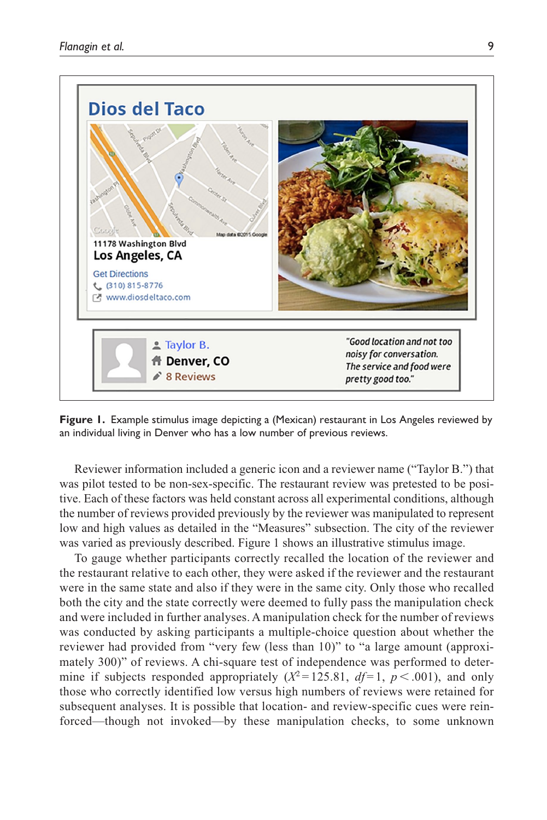

**Figure 1.** Example stimulus image depicting a (Mexican) restaurant in Los Angeles reviewed by an individual living in Denver who has a low number of previous reviews.

Reviewer information included a generic icon and a reviewer name ("Taylor B.") that was pilot tested to be non-sex-specific. The restaurant review was pretested to be positive. Each of these factors was held constant across all experimental conditions, although the number of reviews provided previously by the reviewer was manipulated to represent low and high values as detailed in the "Measures" subsection. The city of the reviewer was varied as previously described. Figure 1 shows an illustrative stimulus image.

To gauge whether participants correctly recalled the location of the reviewer and the restaurant relative to each other, they were asked if the reviewer and the restaurant were in the same state and also if they were in the same city. Only those who recalled both the city and the state correctly were deemed to fully pass the manipulation check and were included in further analyses. A manipulation check for the number of reviews was conducted by asking participants a multiple-choice question about whether the reviewer had provided from "very few (less than 10)" to "a large amount (approximately 300)" of reviews. A chi-square test of independence was performed to determine if subjects responded appropriately  $(X^2 = 125.81, df = 1, p < .001)$ , and only those who correctly identified low versus high numbers of reviews were retained for subsequent analyses. It is possible that location- and review-specific cues were reinforced—though not invoked—by these manipulation checks, to some unknown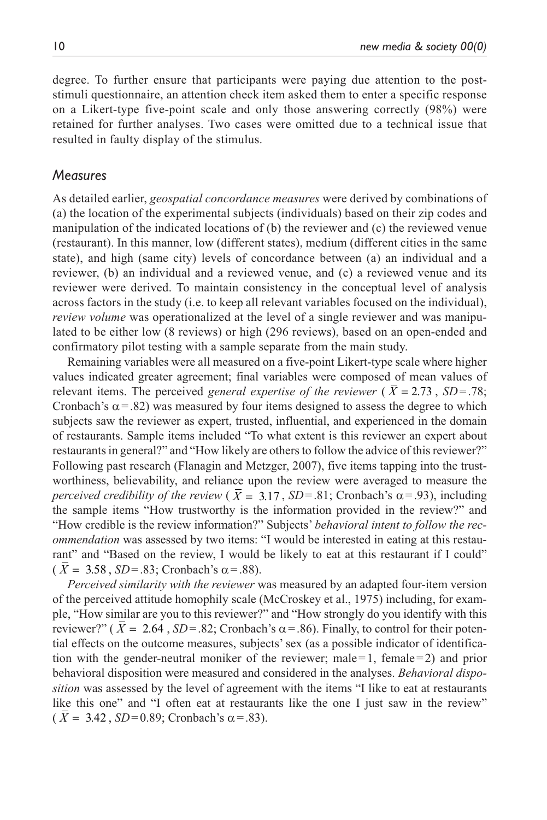degree. To further ensure that participants were paying due attention to the poststimuli questionnaire, an attention check item asked them to enter a specific response on a Likert-type five-point scale and only those answering correctly (98%) were retained for further analyses. Two cases were omitted due to a technical issue that resulted in faulty display of the stimulus.

#### *Measures*

As detailed earlier, *geospatial concordance measures* were derived by combinations of (a) the location of the experimental subjects (individuals) based on their zip codes and manipulation of the indicated locations of (b) the reviewer and (c) the reviewed venue (restaurant). In this manner, low (different states), medium (different cities in the same state), and high (same city) levels of concordance between (a) an individual and a reviewer, (b) an individual and a reviewed venue, and (c) a reviewed venue and its reviewer were derived. To maintain consistency in the conceptual level of analysis across factors in the study (i.e. to keep all relevant variables focused on the individual), *review volume* was operationalized at the level of a single reviewer and was manipulated to be either low (8 reviews) or high (296 reviews), based on an open-ended and confirmatory pilot testing with a sample separate from the main study.

Remaining variables were all measured on a five-point Likert-type scale where higher values indicated greater agreement; final variables were composed of mean values of relevant items. The perceived *general expertise of the reviewer* ( $\overline{X} = 2.73$ ,  $SD = .78$ ; Cronbach's  $\alpha$  = .82) was measured by four items designed to assess the degree to which subjects saw the reviewer as expert, trusted, influential, and experienced in the domain of restaurants. Sample items included "To what extent is this reviewer an expert about restaurants in general?" and "How likely are others to follow the advice of this reviewer?" Following past research (Flanagin and Metzger, 2007), five items tapping into the trustworthiness, believability, and reliance upon the review were averaged to measure the *perceived credibility of the review* ( $\overline{X} = 3.17$ , *SD*=.81; Cronbach's  $\alpha$ =.93), including the sample items "How trustworthy is the information provided in the review?" and "How credible is the review information?" Subjects' *behavioral intent to follow the recommendation* was assessed by two items: "I would be interested in eating at this restaurant" and "Based on the review, I would be likely to eat at this restaurant if I could"  $(X = 3.58, SD = .83; Cronbach's \alpha = .88)$ .

*Perceived similarity with the reviewer* was measured by an adapted four-item version of the perceived attitude homophily scale (McCroskey et al., 1975) including, for example, "How similar are you to this reviewer?" and "How strongly do you identify with this reviewer?" ( $X = 2.64$ ,  $SD = 0.82$ ; Cronbach's  $\alpha = 0.86$ ). Finally, to control for their potential effects on the outcome measures, subjects' sex (as a possible indicator of identification with the gender-neutral moniker of the reviewer; male  $=1$ , female  $=2$ ) and prior behavioral disposition were measured and considered in the analyses. *Behavioral disposition* was assessed by the level of agreement with the items "I like to eat at restaurants like this one" and "I often eat at restaurants like the one I just saw in the review"  $(X = 3.42, SD = 0.89; Cronbach's \alpha = .83).$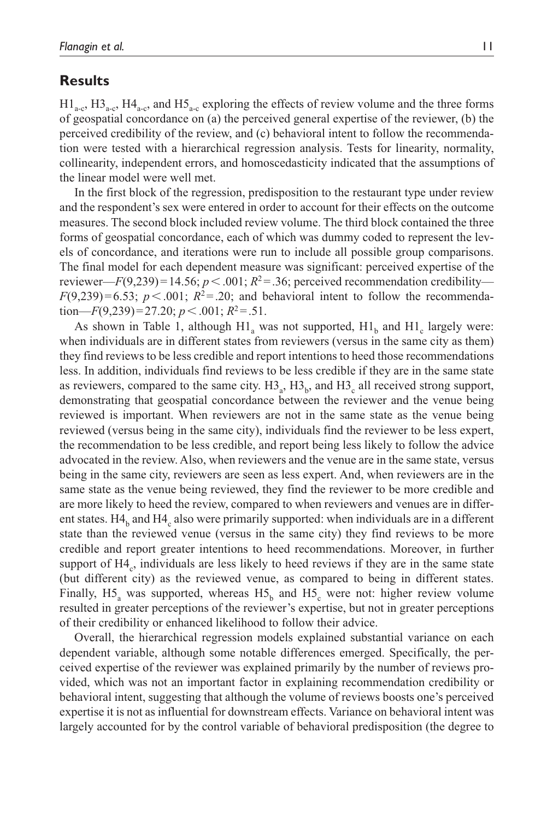### **Results**

 $H1_{\text{a-c}}$ ,  $H3_{\text{a-c}}$ ,  $H4_{\text{a-c}}$ , and  $H5_{\text{a-c}}$  exploring the effects of review volume and the three forms of geospatial concordance on (a) the perceived general expertise of the reviewer, (b) the perceived credibility of the review, and (c) behavioral intent to follow the recommendation were tested with a hierarchical regression analysis. Tests for linearity, normality, collinearity, independent errors, and homoscedasticity indicated that the assumptions of the linear model were well met.

In the first block of the regression, predisposition to the restaurant type under review and the respondent's sex were entered in order to account for their effects on the outcome measures. The second block included review volume. The third block contained the three forms of geospatial concordance, each of which was dummy coded to represent the levels of concordance, and iterations were run to include all possible group comparisons. The final model for each dependent measure was significant: perceived expertise of the reviewer—*F*(9,239)=14.56;  $p < .001$ ;  $R^2 = .36$ ; perceived recommendation credibility—  $F(9,239)=6.53$ ;  $p < .001$ ;  $R^2 = .20$ ; and behavioral intent to follow the recommendation—*F*(9,239)=27.20; *p* < .001;  $R^2$ =.51.

As shown in Table 1, although  $H1_a$  was not supported,  $H1_b$  and  $H1_c$  largely were: when individuals are in different states from reviewers (versus in the same city as them) they find reviews to be less credible and report intentions to heed those recommendations less. In addition, individuals find reviews to be less credible if they are in the same state as reviewers, compared to the same city.  $H3_a$ ,  $H3_b$ , and  $H3_c$  all received strong support, demonstrating that geospatial concordance between the reviewer and the venue being reviewed is important. When reviewers are not in the same state as the venue being reviewed (versus being in the same city), individuals find the reviewer to be less expert, the recommendation to be less credible, and report being less likely to follow the advice advocated in the review. Also, when reviewers and the venue are in the same state, versus being in the same city, reviewers are seen as less expert. And, when reviewers are in the same state as the venue being reviewed, they find the reviewer to be more credible and are more likely to heed the review, compared to when reviewers and venues are in different states.  $H4_b$  and  $H4_c$  also were primarily supported: when individuals are in a different state than the reviewed venue (versus in the same city) they find reviews to be more credible and report greater intentions to heed recommendations. Moreover, in further support of  $H4_c$ , individuals are less likely to heed reviews if they are in the same state (but different city) as the reviewed venue, as compared to being in different states. Finally,  $H_2$  was supported, whereas  $H_5$  and  $H_5$  were not: higher review volume resulted in greater perceptions of the reviewer's expertise, but not in greater perceptions of their credibility or enhanced likelihood to follow their advice.

Overall, the hierarchical regression models explained substantial variance on each dependent variable, although some notable differences emerged. Specifically, the perceived expertise of the reviewer was explained primarily by the number of reviews provided, which was not an important factor in explaining recommendation credibility or behavioral intent, suggesting that although the volume of reviews boosts one's perceived expertise it is not as influential for downstream effects. Variance on behavioral intent was largely accounted for by the control variable of behavioral predisposition (the degree to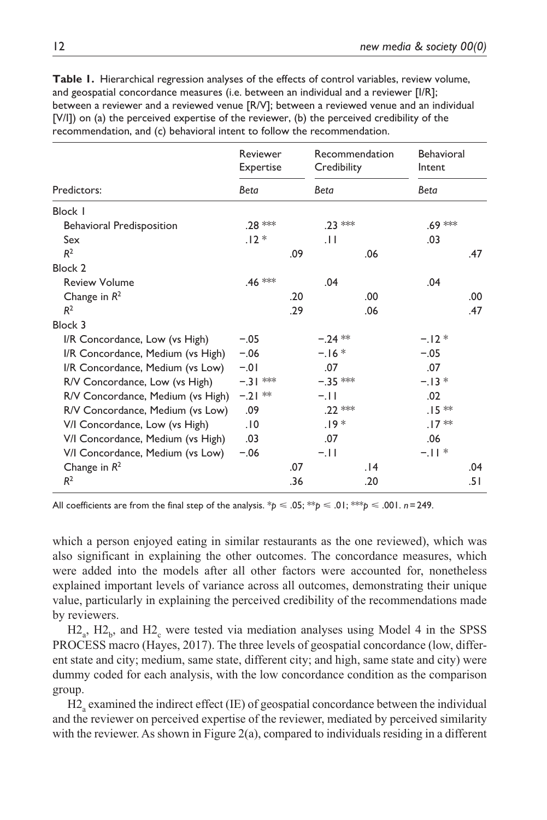|                                   | Reviewer<br>Expertise |     | Recommendation<br>Credibility |     | <b>Behavioral</b><br>Intent |     |
|-----------------------------------|-----------------------|-----|-------------------------------|-----|-----------------------------|-----|
| Predictors:                       | Beta                  |     | Beta                          |     | Beta                        |     |
| Block I                           |                       |     |                               |     |                             |     |
| <b>Behavioral Predisposition</b>  | .28 ***               |     | $.23$ ***                     |     | .69 ***                     |     |
| Sex                               | $.12*$                |     | .11                           |     | .03                         |     |
| R <sup>2</sup>                    |                       | .09 |                               | .06 |                             | .47 |
| <b>Block 2</b>                    |                       |     |                               |     |                             |     |
| <b>Review Volume</b>              | .46 ***               |     | .04                           |     | .04                         |     |
| Change in $R^2$                   |                       | .20 |                               | .00 |                             | .00 |
| R <sup>2</sup>                    |                       | .29 |                               | .06 |                             | .47 |
| Block 3                           |                       |     |                               |     |                             |     |
| I/R Concordance, Low (vs High)    | $-.05$                |     | $-.24$ **                     |     | $-.12*$                     |     |
| I/R Concordance, Medium (vs High) | $-.06$                |     | $-.16*$                       |     | $-.05$                      |     |
| I/R Concordance, Medium (vs Low)  | $-.01$                |     | .07                           |     | .07                         |     |
| R/V Concordance, Low (vs High)    | $-.31***$             |     | $-.35$ ***                    |     | $-.13*$                     |     |
| R/V Concordance, Medium (vs High) | $-.21$ **             |     | $-.11$                        |     | .02                         |     |
| R/V Concordance, Medium (vs Low)  | .09                   |     | .22 ***                       |     | $.15 *$                     |     |
| V/I Concordance, Low (vs High)    | .10                   |     | $.19*$                        |     | $.17**$                     |     |
| V/I Concordance, Medium (vs High) | .03                   |     | .07                           |     | .06                         |     |
| V/I Concordance, Medium (vs Low)  | $-.06$                |     | $-.11$                        |     | $-11*$                      |     |
| Change in $R^2$                   |                       | .07 |                               | .14 |                             | .04 |
| R <sup>2</sup>                    |                       | .36 |                               | .20 |                             | .51 |

**Table 1.** Hierarchical regression analyses of the effects of control variables, review volume, and geospatial concordance measures (i.e. between an individual and a reviewer [I/R]; between a reviewer and a reviewed venue [R/V]; between a reviewed venue and an individual [V/I]) on (a) the perceived expertise of the reviewer, (b) the perceived credibility of the  $r_{\text{data}}$  and (c) behavioral intent to follow the recommendation.

All coefficients are from the final step of the analysis.  $p \le 0.05$ ;  $p \le 0.01$ ;  $p \le 0.01$ . *n*=249.

which a person enjoyed eating in similar restaurants as the one reviewed), which was also significant in explaining the other outcomes. The concordance measures, which were added into the models after all other factors were accounted for, nonetheless explained important levels of variance across all outcomes, demonstrating their unique value, particularly in explaining the perceived credibility of the recommendations made by reviewers.

 $\mathrm{H2}_a$ ,  $\mathrm{H2}_b$ , and  $\mathrm{H2}_c$  were tested via mediation analyses using Model 4 in the SPSS PROCESS macro (Hayes, 2017). The three levels of geospatial concordance (low, different state and city; medium, same state, different city; and high, same state and city) were dummy coded for each analysis, with the low concordance condition as the comparison group.

H2<sub>a</sub> examined the indirect effect (IE) of geospatial concordance between the individual and the reviewer on perceived expertise of the reviewer, mediated by perceived similarity with the reviewer. As shown in Figure 2(a), compared to individuals residing in a different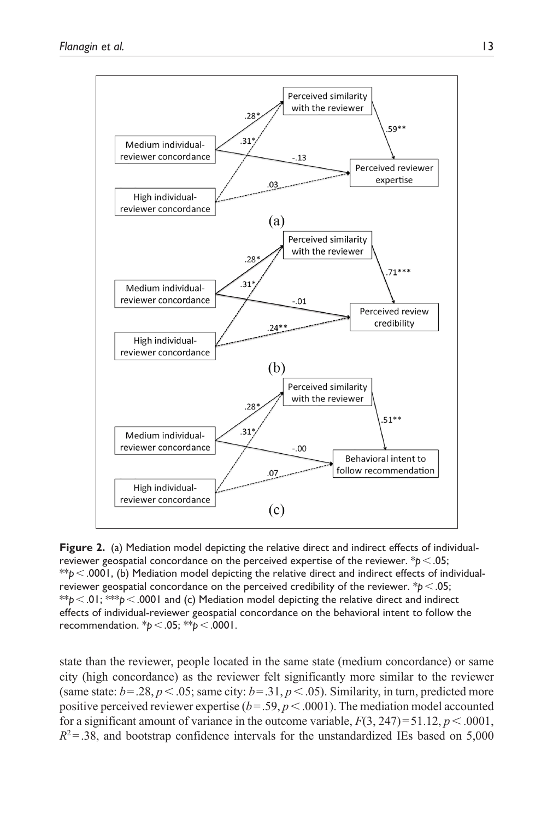

**Figure 2.** (a) Mediation model depicting the relative direct and indirect effects of individualreviewer geospatial concordance on the perceived expertise of the reviewer. \**p*<.05; \*\**p*<.0001, (b) Mediation model depicting the relative direct and indirect effects of individualreviewer geospatial concordance on the perceived credibility of the reviewer. \**p*<.05; \*\* $p < 0$ I; \*\*\* $p < 0001$  and (c) Mediation model depicting the relative direct and indirect effects of individual-reviewer geospatial concordance on the behavioral intent to follow the recommendation. \**p*<.05; \*\**p*<.0001.

state than the reviewer, people located in the same state (medium concordance) or same city (high concordance) as the reviewer felt significantly more similar to the reviewer (same state:  $b = .28$ ,  $p < .05$ ; same city:  $b = .31$ ,  $p < .05$ ). Similarity, in turn, predicted more positive perceived reviewer expertise  $(b = .59, p < .0001)$ . The mediation model accounted for a significant amount of variance in the outcome variable,  $F(3, 247) = 51.12$ ,  $p < .0001$ ,  $R^2$ =.38, and bootstrap confidence intervals for the unstandardized IEs based on 5,000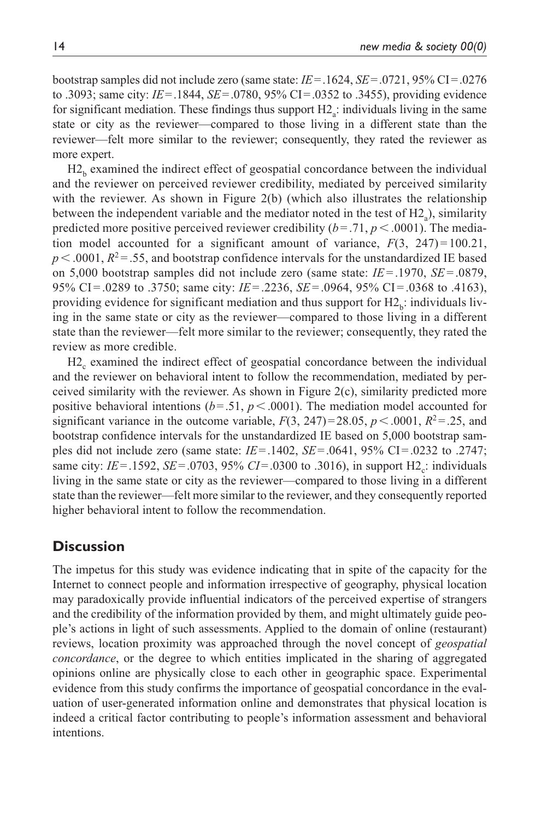bootstrap samples did not include zero (same state: *IE*=.1624, *SE*=.0721, 95% CI=.0276 to .3093; same city: *IE*=.1844, *SE*=.0780, 95% CI=.0352 to .3455), providing evidence for significant mediation. These findings thus support  $H2_a$ : individuals living in the same state or city as the reviewer—compared to those living in a different state than the reviewer—felt more similar to the reviewer; consequently, they rated the reviewer as more expert.

 $H2<sub>b</sub>$  examined the indirect effect of geospatial concordance between the individual and the reviewer on perceived reviewer credibility, mediated by perceived similarity with the reviewer. As shown in Figure 2(b) (which also illustrates the relationship between the independent variable and the mediator noted in the test of  $H2_a$ ), similarity predicted more positive perceived reviewer credibility  $(b=.71, p<.0001)$ . The mediation model accounted for a significant amount of variance,  $F(3, 247) = 100.21$ ,  $p < .0001$ ,  $R^2 = .55$ , and bootstrap confidence intervals for the unstandardized IE based on 5,000 bootstrap samples did not include zero (same state: *IE*= .1970, *SE*= .0879, 95% CI = .0289 to .3750; same city: *IE*= .2236, *SE*= .0964, 95% CI = .0368 to .4163), providing evidence for significant mediation and thus support for  $H2<sub>b</sub>$ : individuals living in the same state or city as the reviewer—compared to those living in a different state than the reviewer—felt more similar to the reviewer; consequently, they rated the review as more credible.

H<sub>2</sub> examined the indirect effect of geospatial concordance between the individual and the reviewer on behavioral intent to follow the recommendation, mediated by perceived similarity with the reviewer. As shown in Figure  $2(c)$ , similarity predicted more positive behavioral intentions ( $b = .51$ ,  $p < .0001$ ). The mediation model accounted for significant variance in the outcome variable,  $F(3, 247) = 28.05$ ,  $p < .0001$ ,  $R^2 = .25$ , and bootstrap confidence intervals for the unstandardized IE based on 5,000 bootstrap samples did not include zero (same state: *IE*=.1402, *SE*=.0641, 95% CI=.0232 to .2747; same city:  $IE = .1592$ ,  $SE = .0703$ ,  $95\% CI = .0300$  to  $.3016$ ), in support  $H2_c$ : individuals living in the same state or city as the reviewer—compared to those living in a different state than the reviewer—felt more similar to the reviewer, and they consequently reported higher behavioral intent to follow the recommendation.

## **Discussion**

The impetus for this study was evidence indicating that in spite of the capacity for the Internet to connect people and information irrespective of geography, physical location may paradoxically provide influential indicators of the perceived expertise of strangers and the credibility of the information provided by them, and might ultimately guide people's actions in light of such assessments. Applied to the domain of online (restaurant) reviews, location proximity was approached through the novel concept of *geospatial concordance*, or the degree to which entities implicated in the sharing of aggregated opinions online are physically close to each other in geographic space. Experimental evidence from this study confirms the importance of geospatial concordance in the evaluation of user-generated information online and demonstrates that physical location is indeed a critical factor contributing to people's information assessment and behavioral intentions.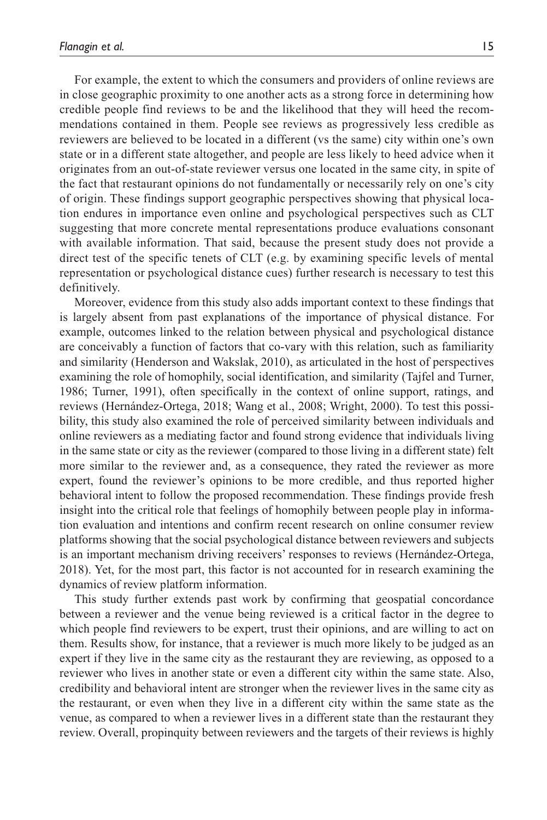For example, the extent to which the consumers and providers of online reviews are in close geographic proximity to one another acts as a strong force in determining how credible people find reviews to be and the likelihood that they will heed the recommendations contained in them. People see reviews as progressively less credible as reviewers are believed to be located in a different (vs the same) city within one's own state or in a different state altogether, and people are less likely to heed advice when it originates from an out-of-state reviewer versus one located in the same city, in spite of the fact that restaurant opinions do not fundamentally or necessarily rely on one's city of origin. These findings support geographic perspectives showing that physical location endures in importance even online and psychological perspectives such as CLT suggesting that more concrete mental representations produce evaluations consonant with available information. That said, because the present study does not provide a direct test of the specific tenets of CLT (e.g. by examining specific levels of mental representation or psychological distance cues) further research is necessary to test this definitively.

Moreover, evidence from this study also adds important context to these findings that is largely absent from past explanations of the importance of physical distance. For example, outcomes linked to the relation between physical and psychological distance are conceivably a function of factors that co-vary with this relation, such as familiarity and similarity (Henderson and Wakslak, 2010), as articulated in the host of perspectives examining the role of homophily, social identification, and similarity (Tajfel and Turner, 1986; Turner, 1991), often specifically in the context of online support, ratings, and reviews (Hernández-Ortega, 2018; Wang et al., 2008; Wright, 2000). To test this possibility, this study also examined the role of perceived similarity between individuals and online reviewers as a mediating factor and found strong evidence that individuals living in the same state or city as the reviewer (compared to those living in a different state) felt more similar to the reviewer and, as a consequence, they rated the reviewer as more expert, found the reviewer's opinions to be more credible, and thus reported higher behavioral intent to follow the proposed recommendation. These findings provide fresh insight into the critical role that feelings of homophily between people play in information evaluation and intentions and confirm recent research on online consumer review platforms showing that the social psychological distance between reviewers and subjects is an important mechanism driving receivers' responses to reviews (Hernández-Ortega, 2018). Yet, for the most part, this factor is not accounted for in research examining the dynamics of review platform information.

This study further extends past work by confirming that geospatial concordance between a reviewer and the venue being reviewed is a critical factor in the degree to which people find reviewers to be expert, trust their opinions, and are willing to act on them. Results show, for instance, that a reviewer is much more likely to be judged as an expert if they live in the same city as the restaurant they are reviewing, as opposed to a reviewer who lives in another state or even a different city within the same state. Also, credibility and behavioral intent are stronger when the reviewer lives in the same city as the restaurant, or even when they live in a different city within the same state as the venue, as compared to when a reviewer lives in a different state than the restaurant they review. Overall, propinquity between reviewers and the targets of their reviews is highly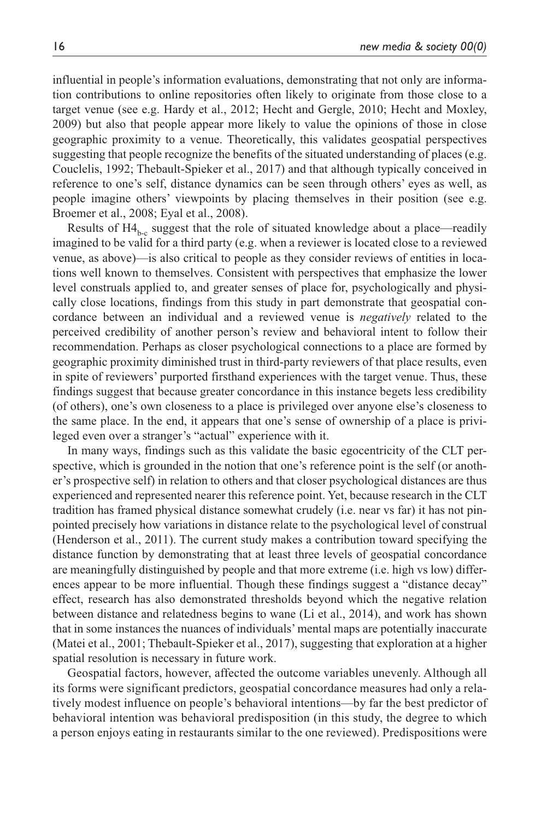influential in people's information evaluations, demonstrating that not only are information contributions to online repositories often likely to originate from those close to a target venue (see e.g. Hardy et al., 2012; Hecht and Gergle, 2010; Hecht and Moxley, 2009) but also that people appear more likely to value the opinions of those in close geographic proximity to a venue. Theoretically, this validates geospatial perspectives suggesting that people recognize the benefits of the situated understanding of places (e.g. Couclelis, 1992; Thebault-Spieker et al., 2017) and that although typically conceived in reference to one's self, distance dynamics can be seen through others' eyes as well, as people imagine others' viewpoints by placing themselves in their position (see e.g. Broemer et al., 2008; Eyal et al., 2008).

Results of  $H4_{bc}$  suggest that the role of situated knowledge about a place—readily imagined to be valid for a third party (e.g. when a reviewer is located close to a reviewed venue, as above)—is also critical to people as they consider reviews of entities in locations well known to themselves. Consistent with perspectives that emphasize the lower level construals applied to, and greater senses of place for, psychologically and physically close locations, findings from this study in part demonstrate that geospatial concordance between an individual and a reviewed venue is *negatively* related to the perceived credibility of another person's review and behavioral intent to follow their recommendation. Perhaps as closer psychological connections to a place are formed by geographic proximity diminished trust in third-party reviewers of that place results, even in spite of reviewers' purported firsthand experiences with the target venue. Thus, these findings suggest that because greater concordance in this instance begets less credibility (of others), one's own closeness to a place is privileged over anyone else's closeness to the same place. In the end, it appears that one's sense of ownership of a place is privileged even over a stranger's "actual" experience with it.

In many ways, findings such as this validate the basic egocentricity of the CLT perspective, which is grounded in the notion that one's reference point is the self (or another's prospective self) in relation to others and that closer psychological distances are thus experienced and represented nearer this reference point. Yet, because research in the CLT tradition has framed physical distance somewhat crudely (i.e. near vs far) it has not pinpointed precisely how variations in distance relate to the psychological level of construal (Henderson et al., 2011). The current study makes a contribution toward specifying the distance function by demonstrating that at least three levels of geospatial concordance are meaningfully distinguished by people and that more extreme (i.e. high vs low) differences appear to be more influential. Though these findings suggest a "distance decay" effect, research has also demonstrated thresholds beyond which the negative relation between distance and relatedness begins to wane (Li et al., 2014), and work has shown that in some instances the nuances of individuals' mental maps are potentially inaccurate (Matei et al., 2001; Thebault-Spieker et al., 2017), suggesting that exploration at a higher spatial resolution is necessary in future work.

Geospatial factors, however, affected the outcome variables unevenly. Although all its forms were significant predictors, geospatial concordance measures had only a relatively modest influence on people's behavioral intentions—by far the best predictor of behavioral intention was behavioral predisposition (in this study, the degree to which a person enjoys eating in restaurants similar to the one reviewed). Predispositions were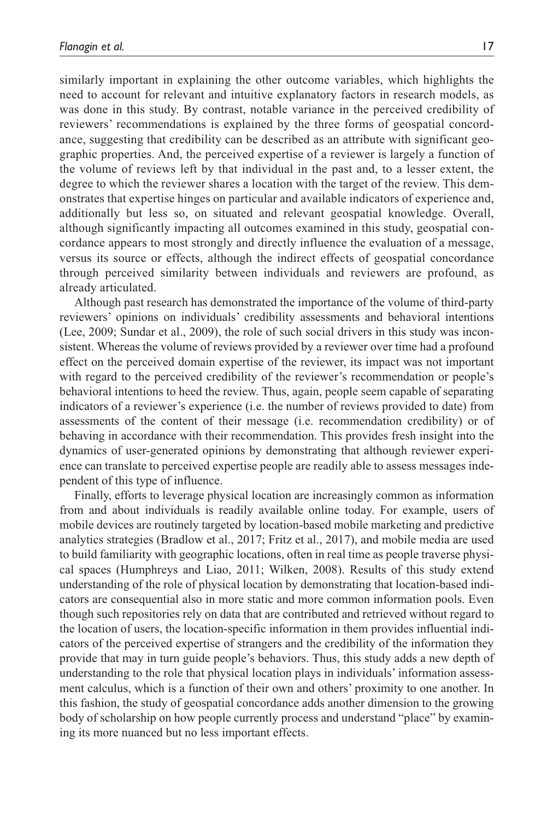similarly important in explaining the other outcome variables, which highlights the need to account for relevant and intuitive explanatory factors in research models, as was done in this study. By contrast, notable variance in the perceived credibility of reviewers' recommendations is explained by the three forms of geospatial concordance, suggesting that credibility can be described as an attribute with significant geographic properties. And, the perceived expertise of a reviewer is largely a function of the volume of reviews left by that individual in the past and, to a lesser extent, the degree to which the reviewer shares a location with the target of the review. This demonstrates that expertise hinges on particular and available indicators of experience and, additionally but less so, on situated and relevant geospatial knowledge. Overall, although significantly impacting all outcomes examined in this study, geospatial concordance appears to most strongly and directly influence the evaluation of a message, versus its source or effects, although the indirect effects of geospatial concordance through perceived similarity between individuals and reviewers are profound, as already articulated.

Although past research has demonstrated the importance of the volume of third-party reviewers' opinions on individuals' credibility assessments and behavioral intentions (Lee, 2009; Sundar et al., 2009), the role of such social drivers in this study was inconsistent. Whereas the volume of reviews provided by a reviewer over time had a profound effect on the perceived domain expertise of the reviewer, its impact was not important with regard to the perceived credibility of the reviewer's recommendation or people's behavioral intentions to heed the review. Thus, again, people seem capable of separating indicators of a reviewer's experience (i.e. the number of reviews provided to date) from assessments of the content of their message (i.e. recommendation credibility) or of behaving in accordance with their recommendation. This provides fresh insight into the dynamics of user-generated opinions by demonstrating that although reviewer experience can translate to perceived expertise people are readily able to assess messages independent of this type of influence.

Finally, efforts to leverage physical location are increasingly common as information from and about individuals is readily available online today. For example, users of mobile devices are routinely targeted by location-based mobile marketing and predictive analytics strategies (Bradlow et al., 2017; Fritz et al., 2017), and mobile media are used to build familiarity with geographic locations, often in real time as people traverse physical spaces (Humphreys and Liao, 2011; Wilken, 2008). Results of this study extend understanding of the role of physical location by demonstrating that location-based indicators are consequential also in more static and more common information pools. Even though such repositories rely on data that are contributed and retrieved without regard to the location of users, the location-specific information in them provides influential indicators of the perceived expertise of strangers and the credibility of the information they provide that may in turn guide people's behaviors. Thus, this study adds a new depth of understanding to the role that physical location plays in individuals' information assessment calculus, which is a function of their own and others' proximity to one another. In this fashion, the study of geospatial concordance adds another dimension to the growing body of scholarship on how people currently process and understand "place" by examining its more nuanced but no less important effects.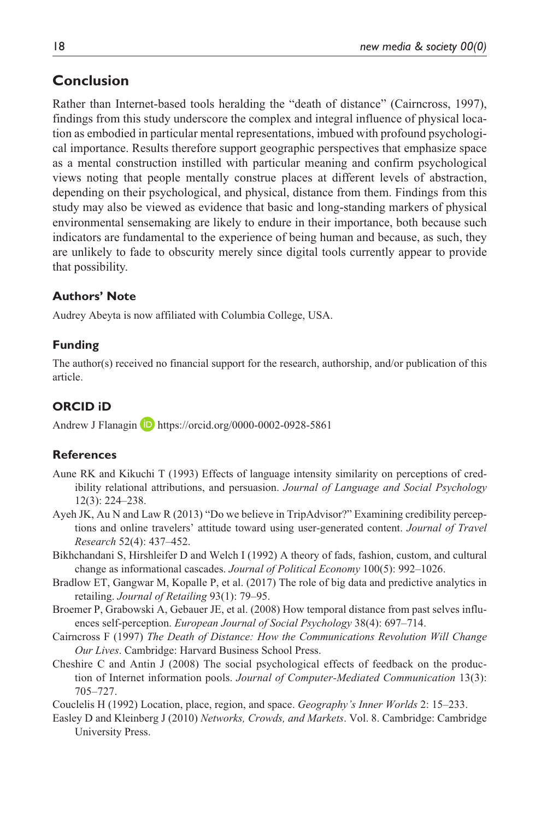## **Conclusion**

Rather than Internet-based tools heralding the "death of distance" (Cairncross, 1997), findings from this study underscore the complex and integral influence of physical location as embodied in particular mental representations, imbued with profound psychological importance. Results therefore support geographic perspectives that emphasize space as a mental construction instilled with particular meaning and confirm psychological views noting that people mentally construe places at different levels of abstraction, depending on their psychological, and physical, distance from them. Findings from this study may also be viewed as evidence that basic and long-standing markers of physical environmental sensemaking are likely to endure in their importance, both because such indicators are fundamental to the experience of being human and because, as such, they are unlikely to fade to obscurity merely since digital tools currently appear to provide that possibility.

### **Authors' Note**

Audrey Abeyta is now affiliated with Columbia College, USA.

### **Funding**

The author(s) received no financial support for the research, authorship, and/or publication of this article.

### **ORCID iD**

Andrew J Flanagin **D** <https://orcid.org/0000-0002-0928-5861>

#### **References**

- Aune RK and Kikuchi T (1993) Effects of language intensity similarity on perceptions of credibility relational attributions, and persuasion. *Journal of Language and Social Psychology* 12(3): 224–238.
- Ayeh JK, Au N and Law R (2013) "Do we believe in TripAdvisor?" Examining credibility perceptions and online travelers' attitude toward using user-generated content. *Journal of Travel Research* 52(4): 437–452.
- Bikhchandani S, Hirshleifer D and Welch I (1992) A theory of fads, fashion, custom, and cultural change as informational cascades. *Journal of Political Economy* 100(5): 992–1026.
- Bradlow ET, Gangwar M, Kopalle P, et al. (2017) The role of big data and predictive analytics in retailing. *Journal of Retailing* 93(1): 79–95.
- Broemer P, Grabowski A, Gebauer JE, et al. (2008) How temporal distance from past selves influences self-perception. *European Journal of Social Psychology* 38(4): 697–714.
- Cairncross F (1997) *The Death of Distance: How the Communications Revolution Will Change Our Lives*. Cambridge: Harvard Business School Press.
- Cheshire C and Antin J (2008) The social psychological effects of feedback on the production of Internet information pools. *Journal of Computer-Mediated Communication* 13(3): 705–727.

Couclelis H (1992) Location, place, region, and space. *Geography's Inner Worlds* 2: 15–233.

Easley D and Kleinberg J (2010) *Networks, Crowds, and Markets*. Vol. 8. Cambridge: Cambridge University Press.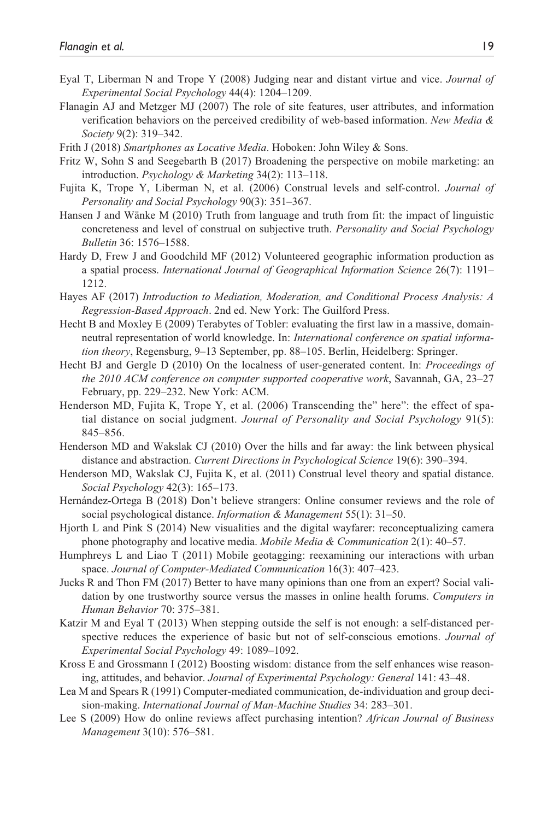- Eyal T, Liberman N and Trope Y (2008) Judging near and distant virtue and vice. *Journal of Experimental Social Psychology* 44(4): 1204–1209.
- Flanagin AJ and Metzger MJ (2007) The role of site features, user attributes, and information verification behaviors on the perceived credibility of web-based information. *New Media & Society* 9(2): 319–342.
- Frith J (2018) *Smartphones as Locative Media*. Hoboken: John Wiley & Sons.
- Fritz W, Sohn S and Seegebarth B (2017) Broadening the perspective on mobile marketing: an introduction. *Psychology & Marketing* 34(2): 113–118.
- Fujita K, Trope Y, Liberman N, et al. (2006) Construal levels and self-control. *Journal of Personality and Social Psychology* 90(3): 351–367.
- Hansen J and Wänke M (2010) Truth from language and truth from fit: the impact of linguistic concreteness and level of construal on subjective truth. *Personality and Social Psychology Bulletin* 36: 1576–1588.
- Hardy D, Frew J and Goodchild MF (2012) Volunteered geographic information production as a spatial process. *International Journal of Geographical Information Science* 26(7): 1191– 1212.
- Hayes AF (2017) *Introduction to Mediation, Moderation, and Conditional Process Analysis: A Regression-Based Approach*. 2nd ed. New York: The Guilford Press.
- Hecht B and Moxley E (2009) Terabytes of Tobler: evaluating the first law in a massive, domainneutral representation of world knowledge. In: *International conference on spatial information theory*, Regensburg, 9–13 September, pp. 88–105. Berlin, Heidelberg: Springer.
- Hecht BJ and Gergle D (2010) On the localness of user-generated content. In: *Proceedings of the 2010 ACM conference on computer supported cooperative work*, Savannah, GA, 23–27 February, pp. 229–232. New York: ACM.
- Henderson MD, Fujita K, Trope Y, et al. (2006) Transcending the" here": the effect of spatial distance on social judgment. *Journal of Personality and Social Psychology* 91(5): 845–856.
- Henderson MD and Wakslak CJ (2010) Over the hills and far away: the link between physical distance and abstraction. *Current Directions in Psychological Science* 19(6): 390–394.
- Henderson MD, Wakslak CJ, Fujita K, et al. (2011) Construal level theory and spatial distance. *Social Psychology* 42(3): 165–173.
- Hernández-Ortega B (2018) Don't believe strangers: Online consumer reviews and the role of social psychological distance. *Information & Management* 55(1): 31–50.
- Hjorth L and Pink S (2014) New visualities and the digital wayfarer: reconceptualizing camera phone photography and locative media. *Mobile Media & Communication* 2(1): 40–57.
- Humphreys L and Liao T (2011) Mobile geotagging: reexamining our interactions with urban space. *Journal of Computer-Mediated Communication* 16(3): 407–423.
- Jucks R and Thon FM (2017) Better to have many opinions than one from an expert? Social validation by one trustworthy source versus the masses in online health forums. *Computers in Human Behavior* 70: 375–381.
- Katzir M and Eyal T (2013) When stepping outside the self is not enough: a self-distanced perspective reduces the experience of basic but not of self-conscious emotions. *Journal of Experimental Social Psychology* 49: 1089–1092.
- Kross E and Grossmann I (2012) Boosting wisdom: distance from the self enhances wise reasoning, attitudes, and behavior. *Journal of Experimental Psychology: General* 141: 43–48.
- Lea M and Spears R (1991) Computer-mediated communication, de-individuation and group decision-making. *International Journal of Man-Machine Studies* 34: 283–301.
- Lee S (2009) How do online reviews affect purchasing intention? *African Journal of Business Management* 3(10): 576–581.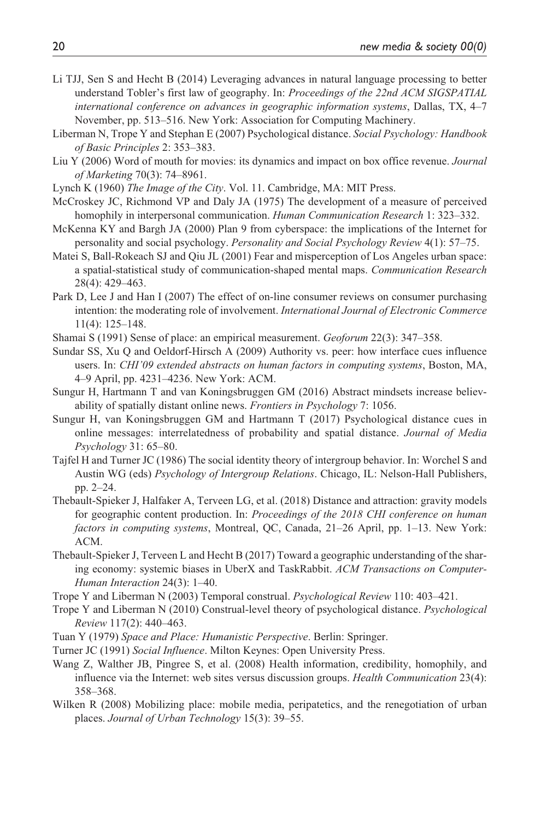- Li TJJ, Sen S and Hecht B (2014) Leveraging advances in natural language processing to better understand Tobler's first law of geography. In: *Proceedings of the 22nd ACM SIGSPATIAL international conference on advances in geographic information systems*, Dallas, TX, 4–7 November, pp. 513–516. New York: Association for Computing Machinery.
- Liberman N, Trope Y and Stephan E (2007) Psychological distance. *Social Psychology: Handbook of Basic Principles* 2: 353–383.
- Liu Y (2006) Word of mouth for movies: its dynamics and impact on box office revenue. *Journal of Marketing* 70(3): 74–8961.
- Lynch K (1960) *The Image of the City*. Vol. 11. Cambridge, MA: MIT Press.
- McCroskey JC, Richmond VP and Daly JA (1975) The development of a measure of perceived homophily in interpersonal communication. *Human Communication Research* 1: 323–332.
- McKenna KY and Bargh JA (2000) Plan 9 from cyberspace: the implications of the Internet for personality and social psychology. *Personality and Social Psychology Review* 4(1): 57–75.
- Matei S, Ball-Rokeach SJ and Qiu JL (2001) Fear and misperception of Los Angeles urban space: a spatial-statistical study of communication-shaped mental maps. *Communication Research* 28(4): 429–463.
- Park D, Lee J and Han I (2007) The effect of on-line consumer reviews on consumer purchasing intention: the moderating role of involvement. *International Journal of Electronic Commerce* 11(4): 125–148.
- Shamai S (1991) Sense of place: an empirical measurement. *Geoforum* 22(3): 347–358.
- Sundar SS, Xu Q and Oeldorf-Hirsch A (2009) Authority vs. peer: how interface cues influence users. In: *CHI'09 extended abstracts on human factors in computing systems*, Boston, MA, 4–9 April, pp. 4231–4236. New York: ACM.
- Sungur H, Hartmann T and van Koningsbruggen GM (2016) Abstract mindsets increase believability of spatially distant online news. *Frontiers in Psychology* 7: 1056.
- Sungur H, van Koningsbruggen GM and Hartmann T (2017) Psychological distance cues in online messages: interrelatedness of probability and spatial distance. *Journal of Media Psychology* 31: 65–80.
- Tajfel H and Turner JC (1986) The social identity theory of intergroup behavior. In: Worchel S and Austin WG (eds) *Psychology of Intergroup Relations*. Chicago, IL: Nelson-Hall Publishers, pp. 2–24.
- Thebault-Spieker J, Halfaker A, Terveen LG, et al. (2018) Distance and attraction: gravity models for geographic content production. In: *Proceedings of the 2018 CHI conference on human factors in computing systems*, Montreal, QC, Canada, 21–26 April, pp. 1–13. New York: ACM.
- Thebault-Spieker J, Terveen L and Hecht B (2017) Toward a geographic understanding of the sharing economy: systemic biases in UberX and TaskRabbit. *ACM Transactions on Computer-Human Interaction* 24(3): 1–40.
- Trope Y and Liberman N (2003) Temporal construal. *Psychological Review* 110: 403–421.
- Trope Y and Liberman N (2010) Construal-level theory of psychological distance. *Psychological Review* 117(2): 440–463.
- Tuan Y (1979) *Space and Place: Humanistic Perspective*. Berlin: Springer.
- Turner JC (1991) *Social Influence*. Milton Keynes: Open University Press.
- Wang Z, Walther JB, Pingree S, et al. (2008) Health information, credibility, homophily, and influence via the Internet: web sites versus discussion groups. *Health Communication* 23(4): 358–368.
- Wilken R (2008) Mobilizing place: mobile media, peripatetics, and the renegotiation of urban places. *Journal of Urban Technology* 15(3): 39–55.